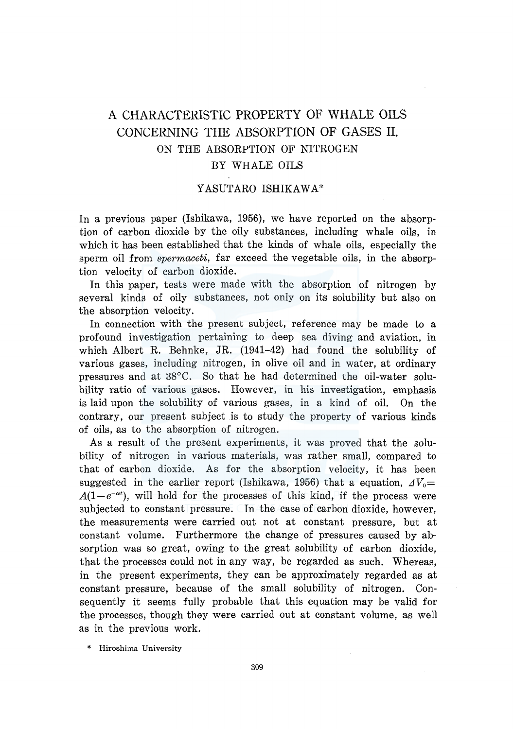# A CHARACTERISTIC PROPERTY OF WHALE OILS CONCERNING THE ABSORPTION OF GASES II. ON THE ABSORPTION OF NITROGEN BY WHALE OILS

## Y ASUTARO ISHIKAWA\*

In a previous paper (Ishikawa, 1956), we have reported on the absorption of carbon dioxide by the oily substances, including whale oils, in which it has been established that the kinds of whale oils, especially the sperm oil from *spermaceti,* far exceed the vegetable oils, in the absorption velocity of carbon dioxide.

In this paper, tests were made with the absorption of nitrogen by several kinds of oily substances, not only on its solubility but also on the absorption velocity.

In connection with the present subject, reference may be made to a profound investigation pertaining to deep sea diving and aviation, in which Albert R. Behnke, JR. (1941-42) had found the solubility of various gases, including nitrogen, in olive oil and in water, at ordinary pressures and at 38°C. So that he had determined the oil-water solubility ratio of various gases. However, in his investigation, emphasis is laid upon the solubility of various gases, in a kind of oil. On the contrary, our present subject .is to study the property of various kinds of oils, as to the absorption of nitrogen.

As a result of the present experiments, it was proved that the solubility of nitrogen in various materials, was rather small, compared to that of carbon dioxide. As for the absorption velocity, it has been suggested in the earlier report (Ishikawa, 1956) that a equation,  $\Delta V_0$ =  $A(1-e^{-\alpha t})$ , will hold for the processes of this kind, if the process were subjected to constant pressure. In the case of carbon dioxide, however, the measurements were carried out not at constant pressure, but at constant volume. Furthermore the change of pressures caused by absorption was so great, owing to the great solubility of carbon dioxide, that the processes could not in any way, be regarded as such. Whereas, in the present experiments, they can be approximately regarded as at constant pressure, because of the small solubility of nitrogen. Consequently it seems fully probable that this equation may be valid for the processes, though they were carried out at constant volume, as well as in the previous work.

\* Hiroshima University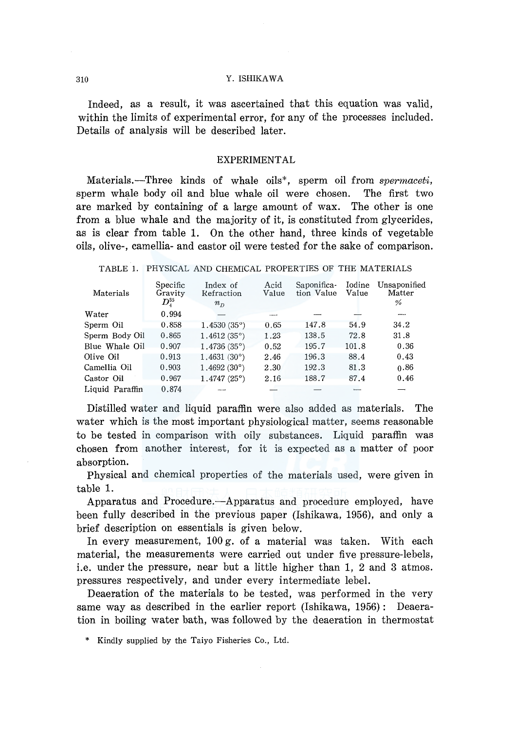Indeed, as a result, it was ascertained that this equation was valid, within the limits of experimental error, for any of the processes included. Details of analysis will be described later.

## **EXPERIMENTAL**

Materials.-Three kinds of whale oils<sup>\*</sup>, sperm oil from *spermaceti*, sperm whale body oil and blue whale oil were chosen. The first two are marked by containing of a large amount of wax. The other is one from a blue whale and the majority of it, is constituted from glycerides, as is clear from table 1. On the other hand, three kinds of vegetable oils, olive-, camellia- and castor oil were tested for the sake of comparison.

| TABLE 1. PHYSICAL AND CHEMICAL PROPERTIES OF THE MATERIALS |  |  |  |
|------------------------------------------------------------|--|--|--|
|------------------------------------------------------------|--|--|--|

| Materials       | Specific<br>Gravity<br>$D_{\rm 4}^{35}$ | Index of<br>Refraction<br>$n_{n}$ | Acid<br>Value | Saponifica-<br>tion Value | Iodine<br>Value | Unsaponified<br>Matter<br>% |
|-----------------|-----------------------------------------|-----------------------------------|---------------|---------------------------|-----------------|-----------------------------|
| Water           | 0.994                                   |                                   |               |                           |                 |                             |
| Sperm Oil       | 0.858                                   | 1.4530(35°)                       | 0.65          | 147.8                     | 54.9            | 34.2                        |
| Sperm Body Oil  | 0.865                                   | 1.4612(35°)                       | 1.23          | 138.5                     | 72.8            | 31.8                        |
| Blue Whale Oil  | 0.907                                   | $1.4736(35^{\circ})$              | 0.52          | 195.7                     | 101.8           | 0.36                        |
| Olive Oil       | 0.913                                   | 1,4631(30°)                       | 2.46          | 196.3                     | 88.4            | 0.43                        |
| Camellia Oil    | 0.903                                   | $1,4692(30^{\circ})$              | 2.30          | 192.3                     | 81.3            | 0.86                        |
| Castor Oil      | 0.967                                   | $1.4747(25^{\circ})$              | 2.16          | 188.7                     | 87.4            | 0.46                        |
| Liquid Paraffin | 0.874                                   |                                   |               |                           |                 |                             |

Distilled water and liquid paraffin were also added as materials. The water which is the most important physiological matter, seems reasonable to be tested in comparison with oily substances. Liquid paraffin was chosen from another interest, for it is expected as a matter of poor absorption.

Physical and chemical properties of the materials used, were given in table 1.

Apparatus and Procedure.—Apparatus and procedure employed, have been fully described in the previous paper (Ishikawa, 1956), and only a brief description on essentials is given below.

In every measurement, 100 g. of a material was taken. With each material, the measurements were carried out under five pressure-lebels, i.e. under the pressure, near but a little higher than 1, 2 and 3 atmos. pressures respectively, and under every intermediate lebel.

Deaeration of the materials to be tested, was performed in the very same way as described in the earlier report (Ishikawa, 1956): Deaeration in boiling water bath, was followed by the deaeration in thermostat

\* Kindly supplied by the Taiyo Fisheries Co., Ltd.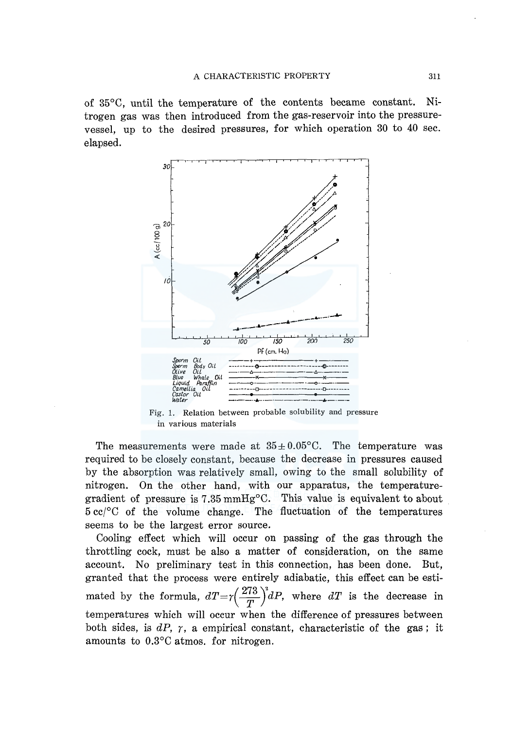of 35°C, until the temperature of the contents became constant. Nitrogen gas was then introduced from the gas-reservoir into the pressurevessel, up to the desired pressures, for which operation 30 to 40 sec. elapsed.



Fig. 1. Relation between probable solubility and pressure in various materials

The measurements were made at  $35 \pm 0.05^{\circ}$ C. The temperature was required to be closely constant, because the decrease in pressures caused by the absorption was relatively small, owing to the small solubility of nitrogen. On the other hand, with our apparatus, the temperaturegradient of pressure is 7 .35 mmHg°C. This value is equivalent to about 5 cc/°C of the volume change. The fluctuation of the temperatures seems to be the largest error source.

Cooling effect which will occur on passing of the gas through the throttling cock, must be also a matter of consideration, on the same account. No preliminary test in this connection, has been done. But, granted that the process were entirely adiabatic, this effect can be estimated by the formula,  $dT = r \left( \frac{273}{T} \right)^3 dP$ , where  $dT$  is the decrease in temperatures which will occur when the difference of pressures between both sides, is *dP, r,* a empirical constant, characteristic of the gas ; it amounts to 0.3°C atmos. for nitrogen.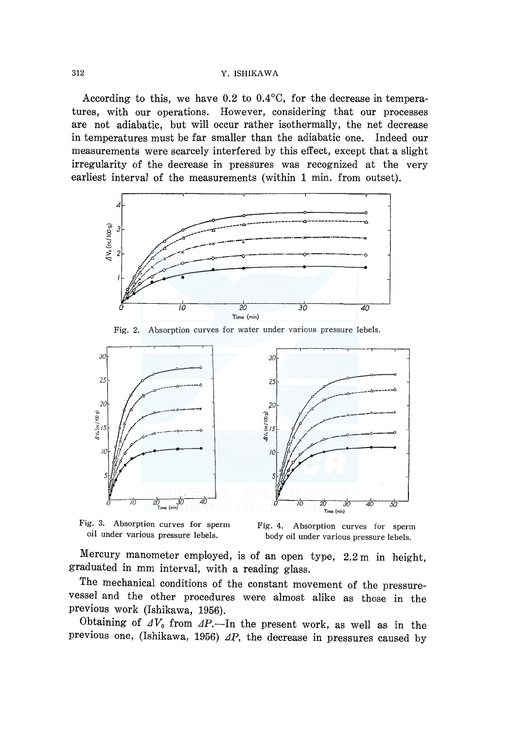According to this, we have  $0.2$  to  $0.4$ °C, for the decrease in temperatures, with our operations. However, considering that our processes are not adiabatic, but will occur rather isothermally, the net decrease in temperatures must be far smaller than the adiabatic one. Indeed our measurements were scarcely interfered by this effect, except that a slight irregularity of the decrease in pressures was recognized at the very earliest interval of the measurements (within 1 min. from outset).







Fig. 3. Absorption curves for sperm oil under various pressure lebels.

Fig. 4. Absorption curves for sperm body oil under various pressure lebels.

Mercury manometer employed, is of an open type, 2.2 m in height, graduated in mm interval, with a reading glass.

The mechanical conditions of the constant movement of the pressurevessel and the other procedures were almost alike as those in the previous work (Ishikawa, 1956).

Obtaining of  $\Delta V_0$  from  $\Delta P$ . In the present work, as well as in the previous one, (Ishikawa, 1956)  $\Delta P$ , the decrease in pressures caused by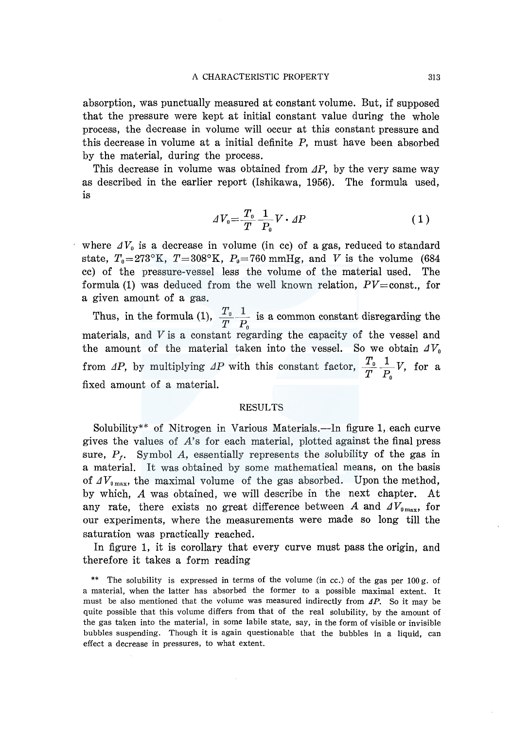absorption, was punctually measured at constant volume. But, if supposed that the pressure were kept at initial constant value during the whole process, the decrease in volume will occur at this constant pressure and this decrease in volume at a initial definite P, must have been absorbed by the material, during the process.

This decrease in volume was obtained from  $\Delta P$ , by the very same way as described in the earlier report (Ishikawa, 1956). The formula used, is

$$
dV_0 = \frac{T_0}{T} \frac{1}{P_0} V \cdot \Delta P \tag{1}
$$

where  $\Delta V_0$  is a decrease in volume (in cc) of a gas, reduced to standard state,  $T_0=273^{\circ}$ K,  $T=308^{\circ}$ K,  $P_0=760$  mmHg, and V is the volume (684) cc) of the pressure-vessel less the volume of the material used. The formula (1) was deduced from the well known relation,  $PV = const.$ , for a given amount of a gas.

Thus, in the formula (1),  $\frac{I_0}{I_1}$  is a common constant disregarding the  $T$   $P_{\scriptscriptstyle 0}$ materials, and Vis a constant regarding the capacity of the vessel and the amount of the material taken into the vessel. So we obtain  $\Delta V_0$ from AP, by multiplying AP with this constant factor,  $\frac{I_0}{I}$   $\frac{I}{I_0}$  V, for a  $T$   $P_0$   $'$ fixed amount of a material.

#### RESULTS

Solubility<sup>\*\*</sup> of Nitrogen in Various Materials.—In figure 1, each curve gives the values of *A's* for each material, plotted against the final press sure,  $P_f$ . Symbol A, essentially represents the solubility of the gas in a material. It was obtained by some mathematical means, on the basis of  $\Delta V_{0\,\text{max}}$ , the maximal volume of the gas absorbed. Upon the method, by which, A was obtained, we will describe in the next chapter. At any rate, there exists no great difference between A and  $\Delta V_{0\,\text{max}}$ , for our experiments, where the measurements were made so long till the saturation was practically reached.

In figure 1, it is corollary that every curve must pass the origin, and therefore it takes a form reading

<sup>\*\*</sup> The solubility is expressed in terms of the volume (in cc.) of the gas per 100 g. of a material, when the latter has absorbed the former to a possible maximal extent. It must be also mentioned that the volume was measured indirectly from  $\Delta P$ . So it may be quite possible that this volume differs from that of the real solubility, by the amount of the gas taken into the material, in some labile state, say, in the form of visible or invisible bubbles suspending. Though it is again questionable that the bubbles in a liquid, can effect a decrease in pressures, to what extent.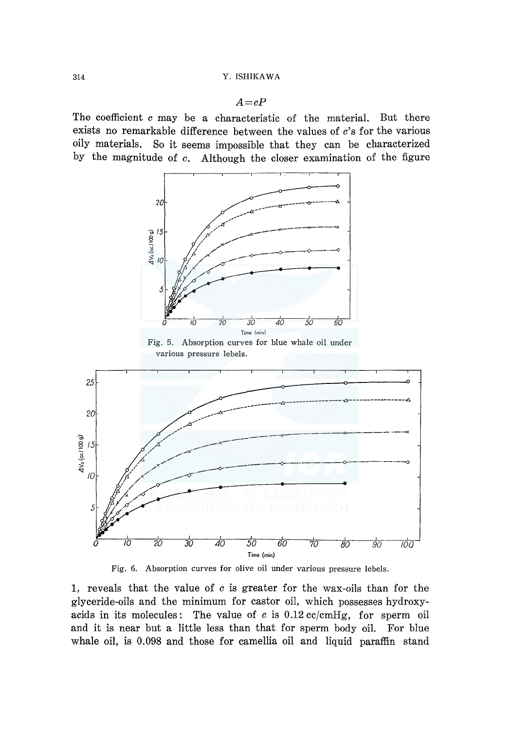*A=cP* 

The coefficient *c* may be a characteristic of the material. But there exists no remarkable difference between the values of *c's* for the various oily materials. So it seems impossible that they can be characterized by the magnitude of *c.* Although the closer examination of the figure





l, reveals that the value of *c* is greater for the wax-oils than for the glyceride-oils and the minimum for castor oil, which possesses hydroxyacids in its molecules: The value of  $c$  is  $0.12$  cc/cmHg, for sperm oil and it is near but a little less than that for sperm body oil. For blue whale oil, is 0.098 and those for camellia oil and liquid paraffin stand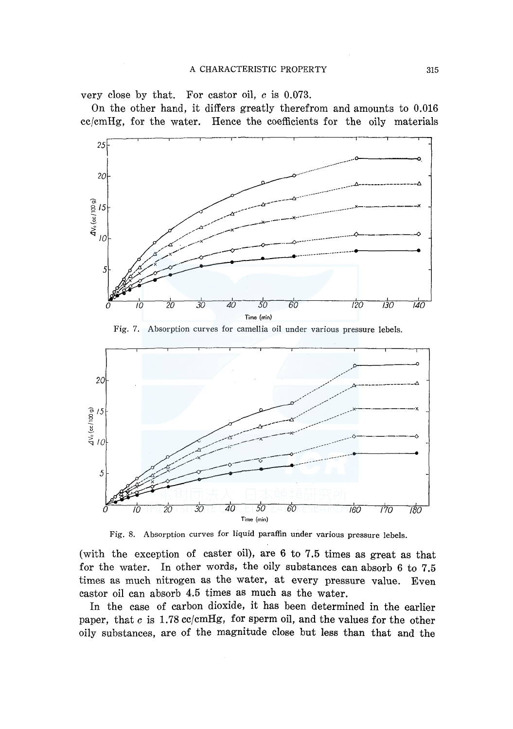very close by that. For castor oil, *c* is 0.073.

On the other hand, it differs greatly therefrom and amounts to 0.016 cc/cmHg, for the water. Hence the coefficients for the oily materials



Fig. 7. Absorption curves for camellia oil under various pressure lebels.



Fig. 8. Absorption curves for liquid paraffin under various pressure lebels.

(with the exception of caster oil}, are 6 to 7.5 times as great as that for the water. In other words, the oily substances can absorb 6 to 7.5 times as much nitrogen as the water, at every pressure value. Even castor oil can absorb 4.5 times as much as the water.

In the case of carbon dioxide, it has been determined in the earlier paper, that *c* is 1.78 cc/cmHg, for sperm oil, and the values for the other oily substances, are of the magnitude close but less than that and the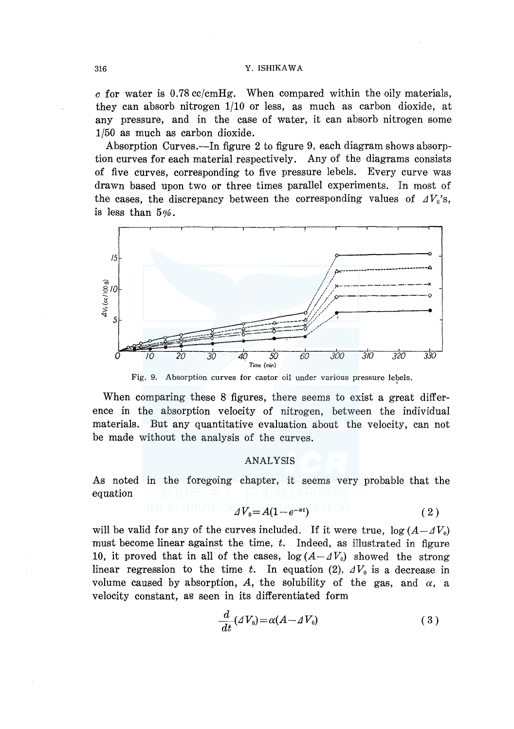*c* for water is 0.78 cc/cmHg. When compared within the oily materials, they can absorb nitrogen 1/10 or less, as much as carbon dioxide, at any pressure, and in the case of water, it can absorb nitrogen some 1/50 as much as carbon dioxide.

Absorption Curves.-In figure 2 to figure 9, each diagram shows absorption curves for each material respectively. Any of the diagrams consists of five curves, corresponding to five pressure lebels. Every curve was drawn based upon two or three times parallel experiments. In most of the cases, the discrepancy between the corresponding values of  $AV_0$ 's, is less than  $5\%$ .



Fig. 9. Absorption curves for castor oil under various pressure lebels.

When comparing these 8 figures, there seems to exist a great difference in the absorption velocity of nitrogen, between the individual materials. But any quantitative evaluation about the velocity, can not be made without the analysis of the curves.

## ANALYSIS

As noted in the foregoing chapter, it seems very probable that the equation

$$
\text{INSHIUIE} \bigcup \text{EOL}_{d} V_{0} = A(1 - e^{-\alpha t}) \text{EARCH} \tag{2}
$$

will be valid for any of the curves included. If it were true,  $\log(A - dV_0)$ must become linear against the time, *t.* Indeed, as illustrated in figure 10, it proved that in all of the cases,  $log(A - \Delta V_0)$  showed the strong linear regression to the time *t*. In equation (2),  $\Delta V_0$  is a decrease in volume caused by absorption, A, the solubility of the gas, and  $\alpha$ , a velocity constant, as seen in its differentiated form

$$
\frac{d}{dt}(4V_0) = \alpha(A - 4V_0) \tag{3}
$$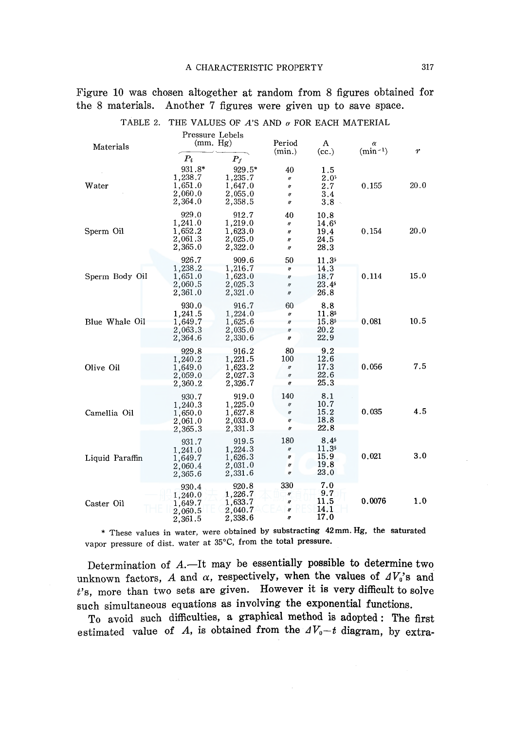Figure 10 was chosen altogether at random from 8 figures obtained for the 8 materials. Another 7 figures were given up to save space.

| Materials       | Pressure Lebels<br>(mm, Hg)                        |                                                    | Period<br>(min.)                                                                      | A<br>(cc.)                                         | α<br>$(min^{-1})$ | $\boldsymbol{r}$ |
|-----------------|----------------------------------------------------|----------------------------------------------------|---------------------------------------------------------------------------------------|----------------------------------------------------|-------------------|------------------|
|                 | $P_t$                                              | $P_f$                                              |                                                                                       |                                                    |                   |                  |
| Water           | 931.8*<br>1,238.7<br>1,651.0<br>2,060.0<br>2,364.0 | 929.5*<br>1,235.7<br>1,647.0<br>2.055.0<br>2,358.5 | 40<br>$^{\prime\prime}$<br>$\theta$<br>IJ<br>11                                       | 1.5<br>2.05<br>$2.7\,$<br>3.4<br>$3.8 -$           | 0.155             | 20.0             |
| Sperm Oil       | 929.0<br>1,241.0<br>1,652.2<br>2,061.3<br>2,365.0  | 912.7<br>1,219.0<br>1,623.0<br>2,025.0<br>2,322.0  | 40<br>$\eta$<br>$^{\prime\prime}$<br>n<br>$^{\prime\prime}$                           | 10.8<br>14.65<br>19.4<br>24.5<br>28.3              | 0.154             | 20.0             |
| Sperm Body Oil  | 926.7<br>1,238.2<br>1,651.0<br>2,060.5<br>2,361.0  | 909.6<br>1,216.7<br>1,623.0<br>2,025.3<br>2,321.0  | 50<br>n<br>$\eta$<br>$\eta$<br>$^{\prime\prime}$                                      | 11.3 <sup>5</sup><br>14.3<br>18.7<br>23.45<br>26.8 | 0.114             | 15.0             |
| Blue Whale Oil  | 930.0<br>1,241.5<br>1,649.7<br>2,063.3<br>2,364.6  | 916.7<br>1,224.0<br>1,625.6<br>2,035.0<br>2,330.6  | 60<br>$^{\prime\prime}$<br>$\boldsymbol{n}$<br>$\eta$<br>W                            | 8.8<br>11.85<br>15.85<br>20.2<br>22.9              | 0.081             | 10.5             |
| Olive Oil       | 929.8<br>1,240.2<br>1,649.0<br>2,059.0<br>2,360.2  | 916.2<br>1,221.5<br>1,623.2<br>2,027.3<br>2,326.7  | 80<br>100<br>$\pmb{\mathcal{U}}$<br>$^{\prime\prime}$<br>H                            | 9.2<br>12.6<br>17.3<br>22.6<br>25.3                | 0.056             | 7.5              |
| Camellia Oil    | 930.7<br>1,240.3<br>1,650.0<br>2,061.0<br>2,365.3  | 919.0<br>1,225.0<br>1,627.8<br>2,033.0<br>2,331.3  | 140<br>$^{\prime\prime}$<br>$\boldsymbol{\mathit{II}}$<br>$\eta$<br>$^{\prime\prime}$ | 8.1<br>10.7<br>15.2<br>18.8<br>22.8                | 0.035             | 4.5              |
| Liquid Paraffin | 931.7<br>1,241.0<br>1,649.7<br>2,060.4<br>2,365.6  | 919.5<br>1,224.3<br>1,626.3<br>2,031.0<br>2,331.6  | 180<br>II<br>$^{\prime\prime}$<br>$\boldsymbol{\eta}$<br>$^{\prime\prime}$            | 8.45<br>11.35<br>15.9<br>19.8<br>23.0              | 0.021             | 3.0              |
| Caster Oil      | 930.4<br>1,240.0<br>1,649.7<br>2.060.5<br>2,361.5  | 920.8<br>1,226.7<br>1,633.7<br>2,040.7<br>2,338.6  | 330<br>n<br>$\boldsymbol{\eta}$<br><b>If</b><br>n                                     | 7.0<br>9.7<br>11.5<br>14.1<br>17.0                 | 0.0076            | 1.0              |

TABLE 2. THE VALUES OF *A'S* AND *a* FOR EACH MATERIAL

\* These values in water, were obtained by substracting 42mm. Hg, the saturated vapor pressure of dist. water at 35°C, from the total pressure.

Determination of  $A$ . --It may be essentially possible to determine two unknown factors, *A* and  $\alpha$ , respectively, when the values of  $AV_0$ 's and *t's,* more than two sets are given. However it is very difficult to solve such simultaneous equations as involving the exponential functions.

To avoid such difficulties, a graphical method is adopted: The first estimated value of *A*, is obtained from the  $4V_0-t$  diagram, by extra-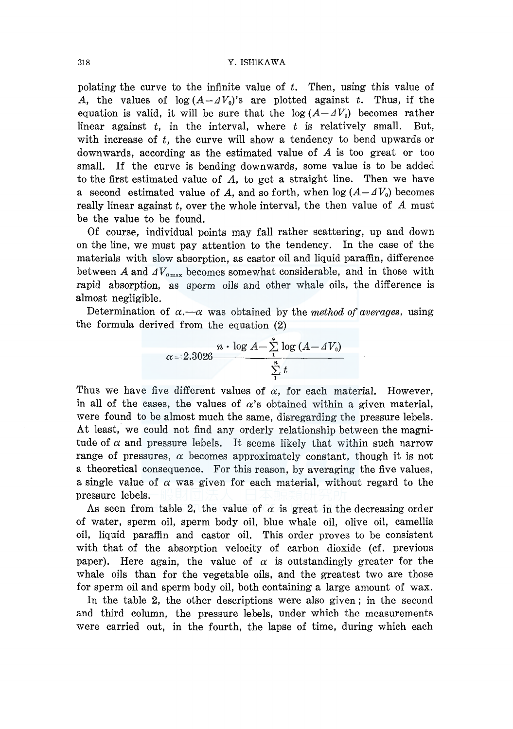polating the curve to the infinite value of *t.* Then, using this value of A, the values of  $\log (A - \Delta V_0)$ 's are plotted against *t*. Thus, if the equation is valid, it will be sure that the  $log(A - \Delta V_0)$  becomes rather linear against *t,* in the interval, where *t* is relatively small. But, with increase of *t,* the curve will show a tendency to bend upwards or downwards, according as the estimated value of A is too great or too small. If the curve is bending downwards, some value is to be added to the first estimated value of  $A$ , to get a straight line. Then we have a second estimated value of A, and so forth, when  $log(A - dV_0)$  becomes really linear against *t,* over the whole interval, the then value of *A* must be the value to be found.

Of course, individual points may fall rather scattering, up and down on the line, we must pay attention to the tendency. In the case of the materials with slow absorption, as castor oil and liquid paraffin, difference between A and  $\Delta V_{0\text{max}}$  becomes somewhat considerable, and in those with rapid absorption, as sperm oils and other whale oils, the difference is almost negligible.

Determination of  $\alpha$ ,  $-\alpha$  was obtained by the *method of averages*, using the formula derived from the equation (2)

$$
\alpha = 2.3026 \frac{n \cdot \log A - \sum_{1}^{n} \log (A - \Delta V_0)}{\sum_{1}^{n} t}
$$

Thus we have five different values of  $\alpha$ , for each material. However, in all of the cases, the values of  $\alpha$ 's obtained within a given material, were found to be almost much the same, disregarding the pressure lebels. At least, we could not find any orderly relationship between the magnitude of  $\alpha$  and pressure lebels. It seems likely that within such narrow range of pressures,  $\alpha$  becomes approximately constant, though it is not a theoretical consequence. For this reason, by averaging the five values, a single value of  $\alpha$  was given for each material, without regard to the pressure lebels.

As seen from table 2, the value of  $\alpha$  is great in the decreasing order of water, sperm oil, sperm body oil, blue whale oil, olive oil, camellia oil, liquid paraffin and castor oil. This order proves to be consistent with that of the absorption velocity of carbon dioxide (cf. previous paper). Here again, the value of  $\alpha$  is outstandingly greater for the whale oils than for the vegetable oils, and the greatest two are those for sperm oil and sperm body oil, both containing a large amount of wax.

In the table 2, the other descriptions were also given; in the second and third column, the pressure lebels, under which the measurements were carried out, in the fourth, the lapse of time, during which each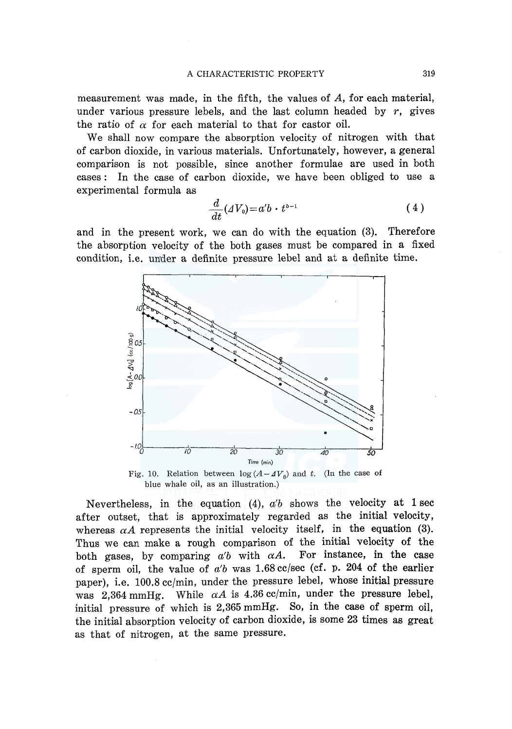measurement was made, in the fifth, the values of A, for each material, under various pressure lebels, and the last column headed by *r,* gives the ratio of  $\alpha$  for each material to that for castor oil.

We shall now compare the absorption velocity of nitrogen with that of carbon dioxide, in various materials. Unfortunately, however, a general comparison is not possible, since another formulae are used in both cases: In the case of carbon dioxide, we have been obliged to use a experimental formula as

$$
\frac{d}{dt}(\Delta V_0) = a'b \cdot t^{b-1} \tag{4}
$$

and in the present work, we can do with the equation (3). Therefore the absorption velocity of the both gases must be compared in a fixed condition, i.e. under a definite pressure lebel and at a definite time.



Fig. 10. Relation between  $log(A - \Delta V_0)$  and *t*. (In the case of blue whale oil, as an illustration.)

Nevertheless, in the equation  $(4)$ ,  $a'b$  shows the velocity at 1 sec after outset, that is approximately regarded as the initial velocity, whereas  $\alpha A$  represents the initial velocity itself, in the equation (3). Thus we can make a rough comparison of the initial velocity of the both gases, by comparing  $a'b$  with  $\alpha A$ . For instance, in the case of sperm oil, the value of  $a'b$  was 1.68 cc/sec (cf. p. 204 of the earlier paper), i.e. 100.8 cc/min, under the pressure lebel, whose initial pressure was 2,364 mmHg. While  $\alpha A$  is 4.36 cc/min, under the pressure lebel. initial pressure of which is 2,365 mmHg. So, in the case of sperm oil, the initial absorption velocity of carbon dioxide, is some 23 times as great as that of nitrogen, at the same pressure.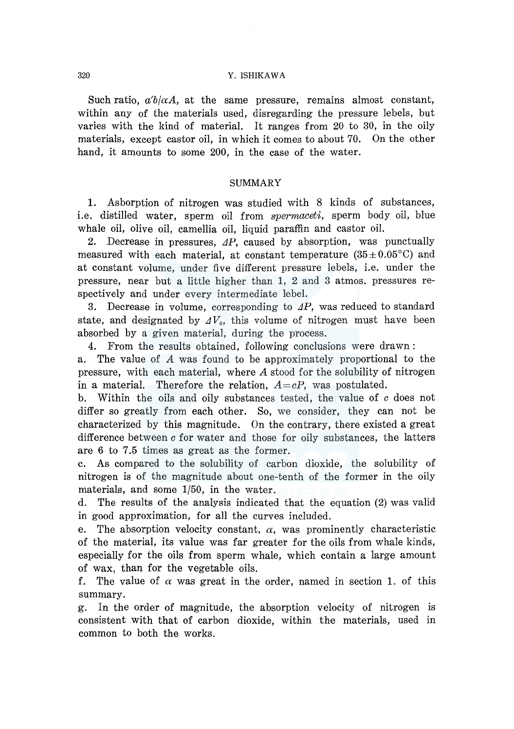Such ratio,  $a'b/\alpha A$ , at the same pressure, remains almost constant, within any of the materials used, disregarding the pressure lebels, but varies with the kind of material. It ranges from 20 to 30, in the oily materials, except castor oil, in which it comes to about 70. On the other hand, it amounts to some 200, in the case of the water.

#### SUMMARY

1. Asborption of nitrogen was studied with 8 kinds of substances, i.e. distilled water, sperm oil from *spermaceti,* sperm body oil, blue whale oil, olive oil, camellia oil, liquid paraffin and castor oil.

2. Decrease in pressures,  $\Delta P$ , caused by absorption, was punctually measured with each material, at constant temperature  $(35 \pm 0.05^{\circ}C)$  and at constant volume, under five different pressure lebels, i.e. under the pressure, near but a little higher than 1, 2 and 3 atmos. pressures respectively and under every intermediate lebel.

3. Decrease in volume, corresponding to  $\Delta P$ , was reduced to standard state, and designated by  $\Delta V_0$ , this volume of nitrogen must have been absorbed by a given material, during the process.

4. From the results obtained, following conclusions were drawn:

a. The value of *A* was found to be approximately proportional to the pressure, with each material, where *A* stood for the solubility of nitrogen in a material. Therefore the relation, *A=cP,* was postulated.

b. Within the oils and oily substances tested, the value of *c* does not differ so greatly from each other. So, we consider, they can not be characterized by this magnitude. On the contrary, there existed a great difference between *c* for water and those for oily substances, the latters are 6 to 7.5 times as great as the former.

c. As compared to the solubility of carbon dioxide, the solubility of nitrogen is of the magnitude about one-tenth of the former in the oily materials, and some 1/50, in the water.

d. The results of the analysis indicated that the equation (2) was valid in good approximation, for all the curves included.

e. The absorption velocity constant,  $\alpha$ , was prominently characteristic of the material, its value was far greater for the oils from whale kinds, especially for the oils from sperm whale, which contain a large amount of wax, than for the vegetable oils.

f. The value of  $\alpha$  was great in the order, named in section 1. of this summary.

g. In the order of magnitude, the absorption velocity of nitrogen is consistent with that of carbon dioxide, within the materials, used in common to both the works.